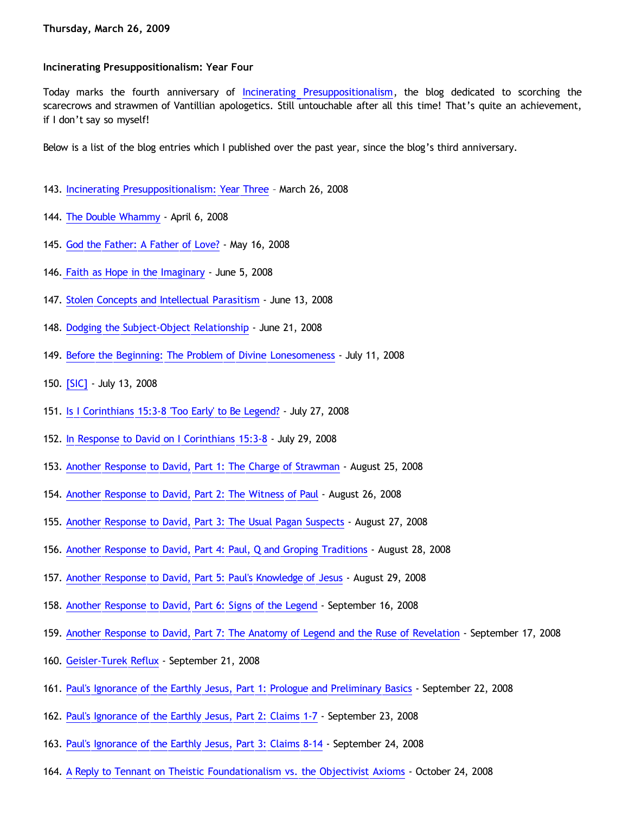### **Incinerating Presuppositionalism: Year Four**

Today marks the fourth anniversary of [Incinerating Presuppositionalism](http://bahnsenburner.blogspot.com/), the blog dedicated to scorching the scarecrows and strawmen of Vantillian apologetics. Still untouchable after all this time! That's quite an achievement, if I don't say so myself!

Below is a list of the blog entries which I published over the past year, since the blog's third anniversary.

- 143. [Incinerating Presuppositionalism: Year Three](http://bahnsenburner.blogspot.com/2008/03/incinerating-presuppositionalism-year.html) March 26, 2008
- 144. [The Double Whammy](http://bahnsenburner.blogspot.com/2008/04/double-whammy.html)  April 6, 2008
- 145. [God the Father: A Father of Love?](http://bahnsenburner.blogspot.com/2008/05/god-father-god-of-love.html) May 16, 2008
- 146. [Faith as Hope in the Imaginary](http://bahnsenburner.blogspot.com/2008/06/faith-as-hope-in-imaginary.html) June 5, 2008
- 147. [Stolen Concepts and Intellectual Parasitism](http://bahnsenburner.blogspot.com/2008/06/stolen-concepts-and-intellectual.html)  June 13, 2008
- 148. [Dodging the Subject-Object Relationship](http://bahnsenburner.blogspot.com/2008/06/dodging-subject-object-relationship.html) June 21, 2008
- 149. [Before the Beginning: The Problem of Divine Lonesomeness](http://bahnsenburner.blogspot.com/2008/07/before-beginning-problem-of-divine.html) July 11, 2008
- 150. [\[SIC\]](http://bahnsenburner.blogspot.com/2008/07/sic.html) July 13, 2008
- 151. [Is I Corinthians 15:3-8 'Too Early' to Be Legend?](http://bahnsenburner.blogspot.com/2008/07/is-i-corinthians-153-8-too-early-to-be.html) July 27, 2008
- 152. [In Response to David on I Corinthians 15:3-8](http://bahnsenburner.blogspot.com/2008/07/in-response-to-david-on-i-corinthians.html) July 29, 2008
- 153. [Another Response to David, Part 1: The Charge of Strawman](http://bahnsenburner.blogspot.com/2008/08/another-response-to-david-part-1-charge.html)  August 25, 2008
- 154. [Another Response to David, Part 2: The Witness of Paul](http://bahnsenburner.blogspot.com/2008/08/another-response-to-david-part-2.html) August 26, 2008
- 155. [Another Response to David, Part 3: The Usual Pagan Suspects](http://bahnsenburner.blogspot.com/2008/08/another-response-to-david-part-3-usual.html) August 27, 2008
- 156. [Another Response to David, Part 4: Paul, Q and Groping Traditions](http://bahnsenburner.blogspot.com/2008/08/another-response-to-david-part-4-paul-q.html) August 28, 2008
- 157. [Another Response to David, Part 5: Paul's Knowledge of Jesus](http://bahnsenburner.blogspot.com/2008/08/another-response-to-david-part-5-pauls.html) August 29, 2008
- 158. [Another Response to David, Part 6: Signs of the Legend](http://bahnsenburner.blogspot.com/2008/09/another-response-to-david-part-6-signs.html)  September 16, 2008
- 159. [Another Response to David, Part 7: The Anatomy of Legend and the Ruse of Revelation](http://bahnsenburner.blogspot.com/2008/09/another-response-to-david-part-7.html) September 17, 2008
- 160. [Geisler-Turek Reflux](http://bahnsenburner.blogspot.com/2008/09/geisler-turek-reflux.html) September 21, 2008
- 161. [Paul's Ignorance of the Earthly Jesus, Part 1: Prologue and Preliminary Basics](http://bahnsenburner.blogspot.com/2008/09/pauls-ignorance-of-earthly-jesus-part-1.html) September 22, 2008
- 162. [Paul's Ignorance of the Earthly Jesus, Part 2: Claims 1-7](http://bahnsenburner.blogspot.com/2008/09/pauls-ignorance-of-earthly-jesus-part-2.html)  September 23, 2008
- 163. [Paul's Ignorance of the Earthly Jesus, Part 3: Claims 8-14](http://bahnsenburner.blogspot.com/2008/09/pauls-ignorance-of-earthly-jesus-part-3.html) September 24, 2008
- 164. [A Reply to Tennant on Theistic Foundationalism vs. the Objectivist Axioms](http://bahnsenburner.blogspot.com/2008/10/reply-to-tennant-on-theistic.html) October 24, 2008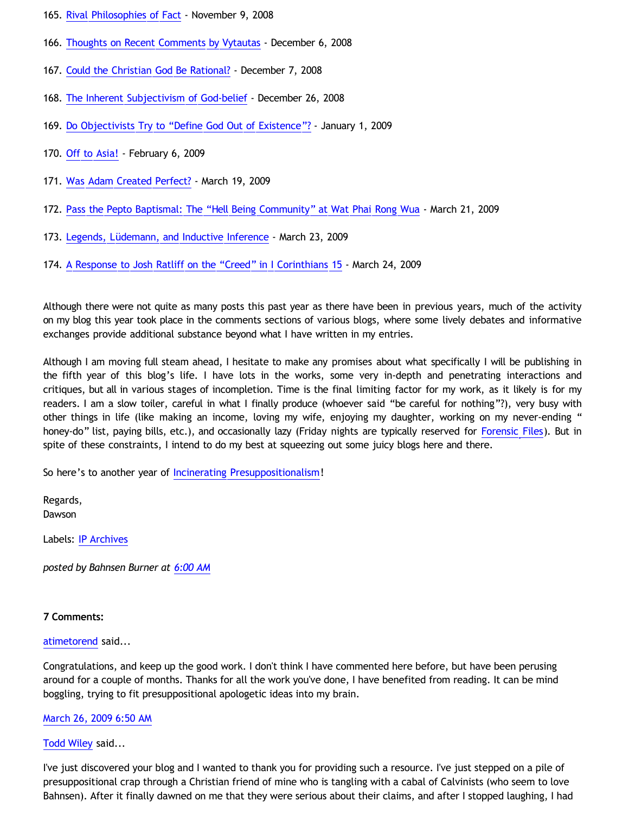- 165. [Rival Philosophies of Fact](http://bahnsenburner.blogspot.com/2008/11/rival-philosophies-of-fact.html) November 9, 2008
- 166. [Thoughts on Recent Comments by Vytautas](http://bahnsenburner.blogspot.com/2008/12/thoughts-on-recent-comments-by-vytautas.html) December 6, 2008
- 167. [Could the Christian God Be Rational?](http://bahnsenburner.blogspot.com/2008/12/could-christian-god-be-rational.html) December 7, 2008
- 168. [The Inherent Subjectivism of God-belief](http://bahnsenburner.blogspot.com/2008/12/inherent-subjectivism-of-god-belief.html)  December 26, 2008
- 169. [Do Objectivists Try to](http://bahnsenburner.blogspot.com/2009/01/do-objectivists-try-to-define-god-out.html) ["Define God Out of Existence"?](http://bahnsenburner.blogspot.com/2009/01/do-objectivists-try-to-define-god-out.html) January 1, 2009
- 170. [Off to Asia!](http://bahnsenburner.blogspot.com/2009/02/off-to-asia.html) February 6, 2009
- 171. [Was Adam Created Perfect?](http://bahnsenburner.blogspot.com/2009/03/was-adam-created-perfect.html)  March 19, 2009
- 172. [Pass the Pepto Baptismal: The](http://bahnsenburner.blogspot.com/2009/03/pass-pepto-baptismal-hell-being.html) ["Hell Being Community" at Wat Phai Rong Wua](http://bahnsenburner.blogspot.com/2009/03/pass-pepto-baptismal-hell-being.html)  March 21, 2009
- 173. [Legends, Lüdemann, and Inductive Inference](http://bahnsenburner.blogspot.com/2009/03/legends-ludemann-and-inductive.html) March 23, 2009
- 174. [A Response to Josh Ratliff on the](http://bahnsenburner.blogspot.com/2009/03/response-to-josh-ratliff-on-creed-in-i.html) ["Creed" in I Corinthians 15](http://bahnsenburner.blogspot.com/2009/03/response-to-josh-ratliff-on-creed-in-i.html)  March 24, 2009

Although there were not quite as many posts this past year as there have been in previous years, much of the activity on my blog this year took place in the comments sections of various blogs, where some lively debates and informative exchanges provide additional substance beyond what I have written in my entries.

Although I am moving full steam ahead, I hesitate to make any promises about what specifically I will be publishing in the fifth year of this blog's life. I have lots in the works, some very in-depth and penetrating interactions and critiques, but all in various stages of incompletion. Time is the final limiting factor for my work, as it likely is for my readers. I am a slow toiler, careful in what I finally produce (whoever said "be careful for nothing"?), very busy with other things in life (like making an income, loving my wife, enjoying my daughter, working on my never-ending " honey-do" list, paying bills, etc.), and occasionally lazy (Friday nights are typically reserved for [Forensic Files\)](http://www.forensicfiles.com/). But in spite of these constraints, I intend to do my best at squeezing out some juicy blogs here and there.

So here's to another year of [Incinerating Presuppositionalism](http://bahnsenburner.blogspot.com/)!

Regards, Dawson

Labels: [IP Archives](http://bahnsenburner.blogspot.com/search/label/IP%20Archives)

*posted by Bahnsen Burner at [6:00 AM](http://bahnsenburner.blogspot.com/2009/03/incinerating-presuppositionalism-year.html)*

# **7 Comments:**

# [atimetorend](http://www.blogger.com/profile/10563649474540441597) said...

Congratulations, and keep up the good work. I don't think I have commented here before, but have been perusing around for a couple of months. Thanks for all the work you've done, I have benefited from reading. It can be mind boggling, trying to fit presuppositional apologetic ideas into my brain.

## [March 26, 2009 6:50 AM](http://bahnsenburner.blogspot.com/2009/03/8491676800419930741)

## [Todd Wiley](http://www.blogger.com/profile/09007060797506710208) said...

I've just discovered your blog and I wanted to thank you for providing such a resource. I've just stepped on a pile of presuppositional crap through a Christian friend of mine who is tangling with a cabal of Calvinists (who seem to love Bahnsen). After it finally dawned on me that they were serious about their claims, and after I stopped laughing, I had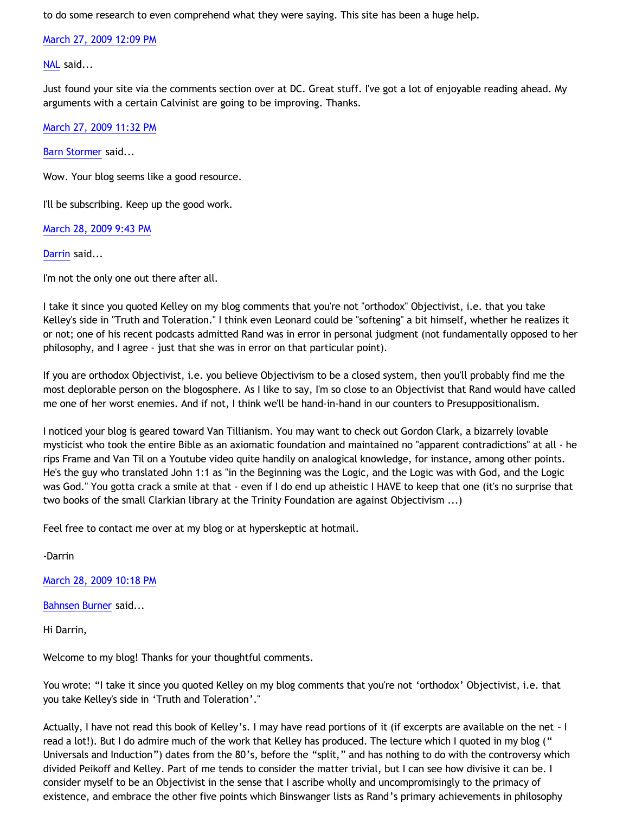to do some research to even comprehend what they were saying. This site has been a huge help.

[March 27, 2009 12:09 PM](http://bahnsenburner.blogspot.com/2009/03/4702849733047994260)

[NAL](http://www.blogger.com/profile/12244370945682162312) said...

Just found your site via the comments section over at DC. Great stuff. I've got a lot of enjoyable reading ahead. My arguments with a certain Calvinist are going to be improving. Thanks.

[March 27, 2009 11:32 PM](http://bahnsenburner.blogspot.com/2009/03/44048439211605100)

[Barn Stormer](http://www.blogger.com/profile/06979158536061044873) said...

Wow. Your blog seems like a good resource.

I'll be subscribing. Keep up the good work.

[March 28, 2009 9:43 PM](http://bahnsenburner.blogspot.com/2009/03/2664811360112462115)

[Darrin](http://www.blogger.com/profile/12757150483103267411) said...

I'm not the only one out there after all.

I take it since you quoted Kelley on my blog comments that you're not "orthodox" Objectivist, i.e. that you take Kelley's side in "Truth and Toleration." I think even Leonard could be "softening" a bit himself, whether he realizes it or not; one of his recent podcasts admitted Rand was in error in personal judgment (not fundamentally opposed to her philosophy, and I agree - just that she was in error on that particular point).

If you are orthodox Objectivist, i.e. you believe Objectivism to be a closed system, then you'll probably find me the most deplorable person on the blogosphere. As I like to say, I'm so close to an Objectivist that Rand would have called me one of her worst enemies. And if not, I think we'll be hand-in-hand in our counters to Presuppositionalism.

I noticed your blog is geared toward Van Tillianism. You may want to check out Gordon Clark, a bizarrely lovable mysticist who took the entire Bible as an axiomatic foundation and maintained no "apparent contradictions" at all - he rips Frame and Van Til on a Youtube video quite handily on analogical knowledge, for instance, among other points. He's the guy who translated John 1:1 as "in the Beginning was the Logic, and the Logic was with God, and the Logic was God." You gotta crack a smile at that - even if I do end up atheistic I HAVE to keep that one (it's no surprise that two books of the small Clarkian library at the Trinity Foundation are against Objectivism ...)

Feel free to contact me over at my blog or at hyperskeptic at hotmail.

-Darrin

[March 28, 2009 10:18 PM](http://bahnsenburner.blogspot.com/2009/03/5977786546550003477)

[Bahnsen Burner](http://www.blogger.com/profile/11030029491768748360) said...

Hi Darrin,

Welcome to my blog! Thanks for your thoughtful comments.

You wrote: "I take it since you quoted Kelley on my blog comments that you're not 'orthodox' Objectivist, i.e. that you take Kelley's side in 'Truth and Toleration'."

Actually, I have not read this book of Kelley's. I may have read portions of it (if excerpts are available on the net – I read a lot!). But I do admire much of the work that Kelley has produced. The lecture which I quoted in my blog (" Universals and Induction") dates from the 80's, before the "split," and has nothing to do with the controversy which divided Peikoff and Kelley. Part of me tends to consider the matter trivial, but I can see how divisive it can be. I consider myself to be an Objectivist in the sense that I ascribe wholly and uncompromisingly to the primacy of existence, and embrace the other five points which Binswanger lists as Rand's primary achievements in philosophy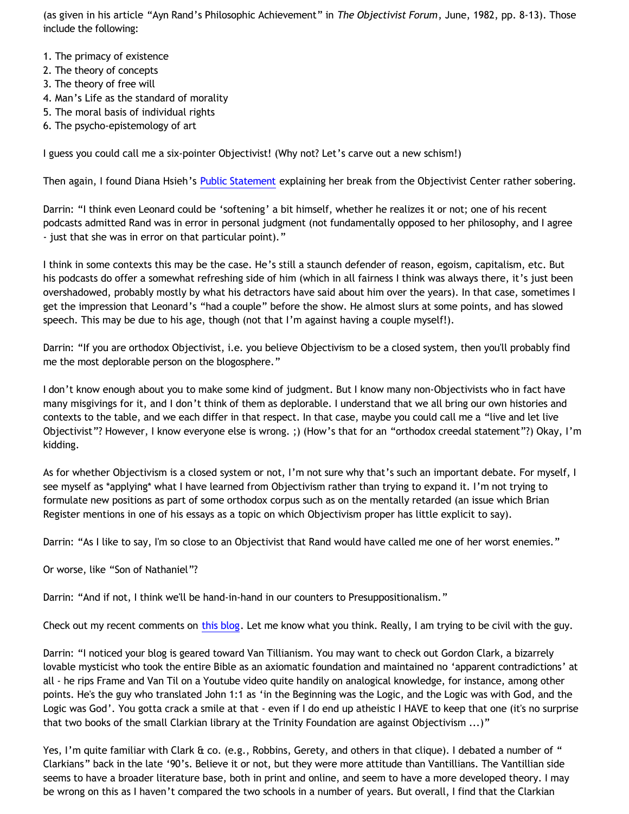(as given in his article "Ayn Rand's Philosophic Achievement" in *The Objectivist Forum*, June, 1982, pp. 8-13). Those include the following:

- 1. The primacy of existence
- 2. The theory of concepts
- 3. The theory of free will
- 4. Man's Life as the standard of morality
- 5. The moral basis of individual rights
- 6. The psycho-epistemology of art

I guess you could call me a six-pointer Objectivist! (Why not? Let's carve out a new schism!)

Then again, I found Diana Hsieh's [Public Statement](http://www.dianahsieh.com/blog/2004/02/public-statement.html) explaining her break from the Objectivist Center rather sobering.

Darrin: "I think even Leonard could be 'softening' a bit himself, whether he realizes it or not; one of his recent podcasts admitted Rand was in error in personal judgment (not fundamentally opposed to her philosophy, and I agree - just that she was in error on that particular point)."

I think in some contexts this may be the case. He's still a staunch defender of reason, egoism, capitalism, etc. But his podcasts do offer a somewhat refreshing side of him (which in all fairness I think was always there, it's just been overshadowed, probably mostly by what his detractors have said about him over the years). In that case, sometimes I get the impression that Leonard's "had a couple" before the show. He almost slurs at some points, and has slowed speech. This may be due to his age, though (not that I'm against having a couple myself!).

Darrin: "If you are orthodox Objectivist, i.e. you believe Objectivism to be a closed system, then you'll probably find me the most deplorable person on the blogosphere."

I don't know enough about you to make some kind of judgment. But I know many non-Objectivists who in fact have many misgivings for it, and I don't think of them as deplorable. I understand that we all bring our own histories and contexts to the table, and we each differ in that respect. In that case, maybe you could call me a "live and let live Objectivist"? However, I know everyone else is wrong. ;) (How's that for an "orthodox creedal statement"?) Okay, I'm kidding.

As for whether Objectivism is a closed system or not, I'm not sure why that's such an important debate. For myself, I see myself as \*applying\* what I have learned from Objectivism rather than trying to expand it. I'm not trying to formulate new positions as part of some orthodox corpus such as on the mentally retarded (an issue which Brian Register mentions in one of his essays as a topic on which Objectivism proper has little explicit to say).

Darrin: "As I like to say, I'm so close to an Objectivist that Rand would have called me one of her worst enemies."

Or worse, like "Son of Nathaniel"?

Darrin: "And if not, I think we'll be hand-in-hand in our counters to Presuppositionalism."

Check out my recent comments on [this blog](http://choosinghats.blogspot.com/2009/03/your-thoughts-welcome.html). Let me know what you think. Really, I am trying to be civil with the guy.

Darrin: "I noticed your blog is geared toward Van Tillianism. You may want to check out Gordon Clark, a bizarrely lovable mysticist who took the entire Bible as an axiomatic foundation and maintained no 'apparent contradictions' at all - he rips Frame and Van Til on a Youtube video quite handily on analogical knowledge, for instance, among other points. He's the guy who translated John 1:1 as 'in the Beginning was the Logic, and the Logic was with God, and the Logic was God'. You gotta crack a smile at that - even if I do end up atheistic I HAVE to keep that one (it's no surprise that two books of the small Clarkian library at the Trinity Foundation are against Objectivism ...)"

Yes, I'm quite familiar with Clark & co. (e.g., Robbins, Gerety, and others in that clique). I debated a number of " Clarkians" back in the late '90's. Believe it or not, but they were more attitude than Vantillians. The Vantillian side seems to have a broader literature base, both in print and online, and seem to have a more developed theory. I may be wrong on this as I haven't compared the two schools in a number of years. But overall, I find that the Clarkian